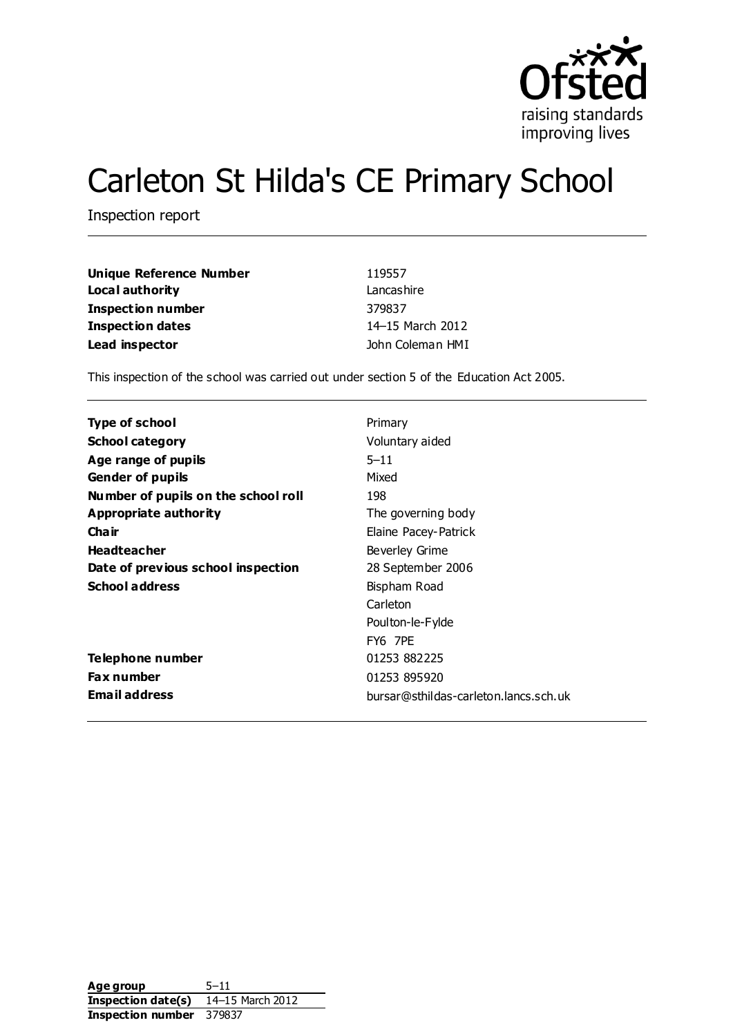

# Carleton St Hilda's CE Primary School

Inspection report

| <b>Unique Reference Number</b> | 119557           |
|--------------------------------|------------------|
| Local authority                | Lancashire       |
| <b>Inspection number</b>       | 379837           |
| <b>Inspection dates</b>        | 14-15 March 2012 |
| Lead inspector                 | John Coleman HMI |

This inspection of the school was carried out under section 5 of the Education Act 2005.

| Type of school                      | Primary                               |
|-------------------------------------|---------------------------------------|
| <b>School category</b>              | Voluntary aided                       |
| Age range of pupils                 | $5 - 11$                              |
| <b>Gender of pupils</b>             | Mixed                                 |
| Number of pupils on the school roll | 198                                   |
| Appropriate authority               | The governing body                    |
| Cha ir                              | Elaine Pacey-Patrick                  |
| <b>Headteacher</b>                  | Beverley Grime                        |
| Date of previous school inspection  | 28 September 2006                     |
| <b>School address</b>               | Bispham Road                          |
|                                     | Carleton                              |
|                                     | Poulton-le-Fylde                      |
|                                     | FY6 7PE                               |
| Telephone number                    | 01253 882225                          |
| <b>Fax number</b>                   | 01253 895920                          |
| <b>Email address</b>                | bursar@sthildas-carleton.lancs.sch.uk |

Age group 5-11 **Inspection date(s)** 14–15 March 2012 **Inspection number** 379837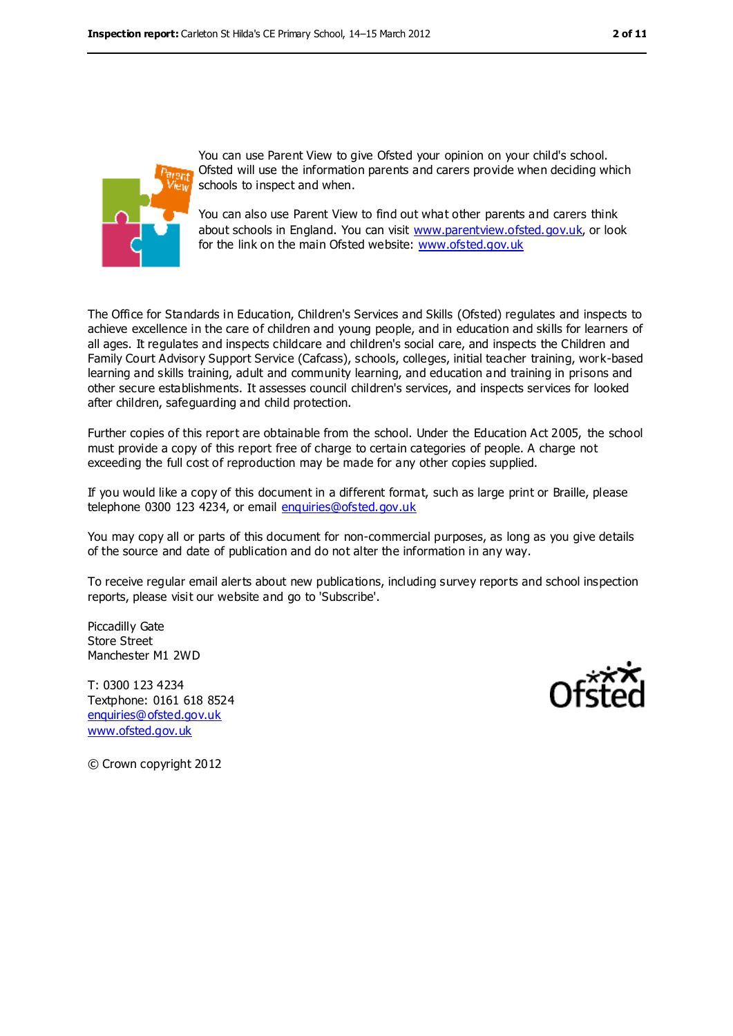

You can use Parent View to give Ofsted your opinion on your child's school. Ofsted will use the information parents and carers provide when deciding which schools to inspect and when.

You can also use Parent View to find out what other parents and carers think about schools in England. You can visit [www.parentview.ofsted.gov.uk,](file:///C:/Users/ggleaden/AppData/Local/Local%20Settings/Temporary%20Internet%20Files/Local%20Settings/Temporary%20Internet%20Files/Content.IE5/4ZZVQOHL/www.parentview.ofsted.gov.uk) or look for the link on the main Ofsted website: [www.ofsted.gov.uk](file:///C:/Users/ggleaden/AppData/Local/Local%20Settings/Temporary%20Internet%20Files/Local%20Settings/Temporary%20Internet%20Files/Content.IE5/4ZZVQOHL/www.ofsted.gov.uk)

The Office for Standards in Education, Children's Services and Skills (Ofsted) regulates and inspects to achieve excellence in the care of children and young people, and in education and skills for learners of all ages. It regulates and inspects childcare and children's social care, and inspects the Children and Family Court Advisory Support Service (Cafcass), schools, colleges, initial teacher training, work-based learning and skills training, adult and community learning, and education and training in prisons and other secure establishments. It assesses council children's services, and inspects services for looked after children, safeguarding and child protection.

Further copies of this report are obtainable from the school. Under the Education Act 2005, the school must provide a copy of this report free of charge to certain categories of people. A charge not exceeding the full cost of reproduction may be made for any other copies supplied.

If you would like a copy of this document in a different format, such as large print or Braille, please telephone 0300 123 4234, or email [enquiries@ofsted.gov.uk](mailto:enquiries@ofsted.gov.uk)

You may copy all or parts of this document for non-commercial purposes, as long as you give details of the source and date of publication and do not alter the information in any way.

To receive regular email alerts about new publications, including survey reports and school inspection reports, please visit our website and go to 'Subscribe'.

Piccadilly Gate Store Street Manchester M1 2WD

T: 0300 123 4234 Textphone: 0161 618 8524 [enquiries@ofsted.gov.uk](mailto:enquiries@ofsted.gov.uk) [www.ofsted.gov.uk](http://www.ofsted.gov.uk/)



© Crown copyright 2012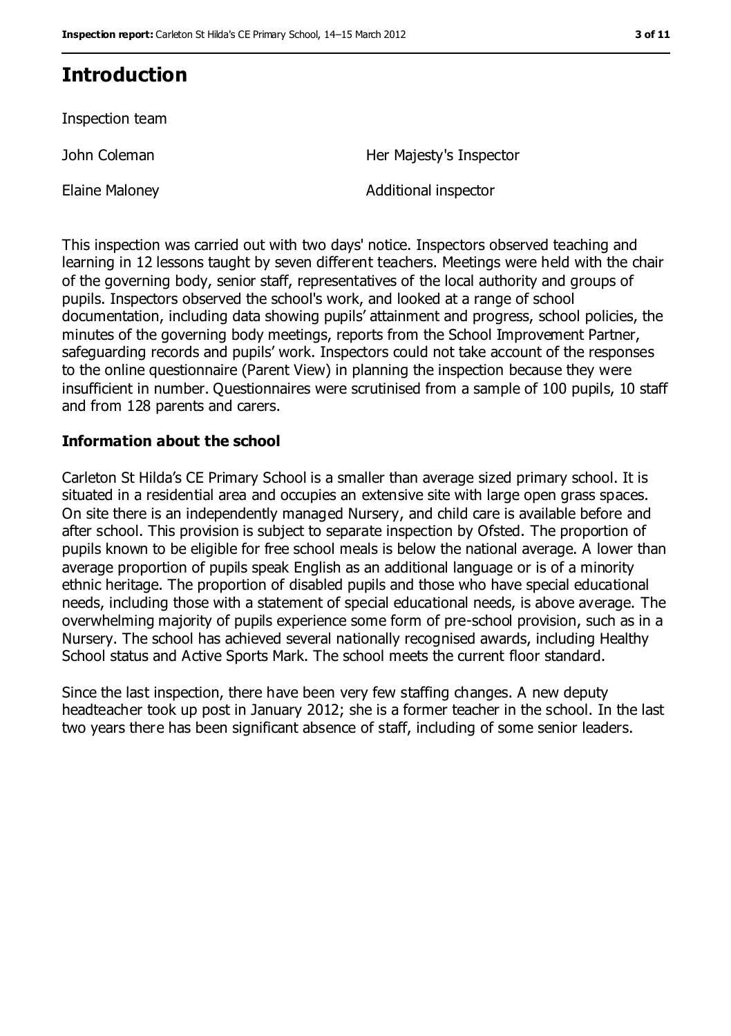## **Introduction**

Inspection team

John Coleman

Elaine Maloney

Her Majesty's Inspector

Additional inspector

This inspection was carried out with two days' notice. Inspectors observed teaching and learning in 12 lessons taught by seven different teachers. Meetings were held with the chair of the governing body, senior staff, representatives of the local authority and groups of pupils. Inspectors observed the school's work, and looked at a range of school documentation, including data showing pupils' attainment and progress, school policies, the minutes of the governing body meetings, reports from the School Improvement Partner, safeguarding records and pupils' work. Inspectors could not take account of the responses to the online questionnaire (Parent View) in planning the inspection because they were insufficient in number. Questionnaires were scrutinised from a sample of 100 pupils, 10 staff and from 128 parents and carers.

#### **Information about the school**

Carleton St Hilda's CE Primary School is a smaller than average sized primary school. It is situated in a residential area and occupies an extensive site with large open grass spaces. On site there is an independently managed Nursery, and child care is available before and after school. This provision is subject to separate inspection by Ofsted. The proportion of pupils known to be eligible for free school meals is below the national average. A lower than average proportion of pupils speak English as an additional language or is of a minority ethnic heritage. The proportion of disabled pupils and those who have special educational needs, including those with a statement of special educational needs, is above average. The overwhelming majority of pupils experience some form of pre-school provision, such as in a Nursery. The school has achieved several nationally recognised awards, including Healthy School status and Active Sports Mark. The school meets the current floor standard.

Since the last inspection, there have been very few staffing changes. A new deputy headteacher took up post in January 2012; she is a former teacher in the school. In the last two years there has been significant absence of staff, including of some senior leaders.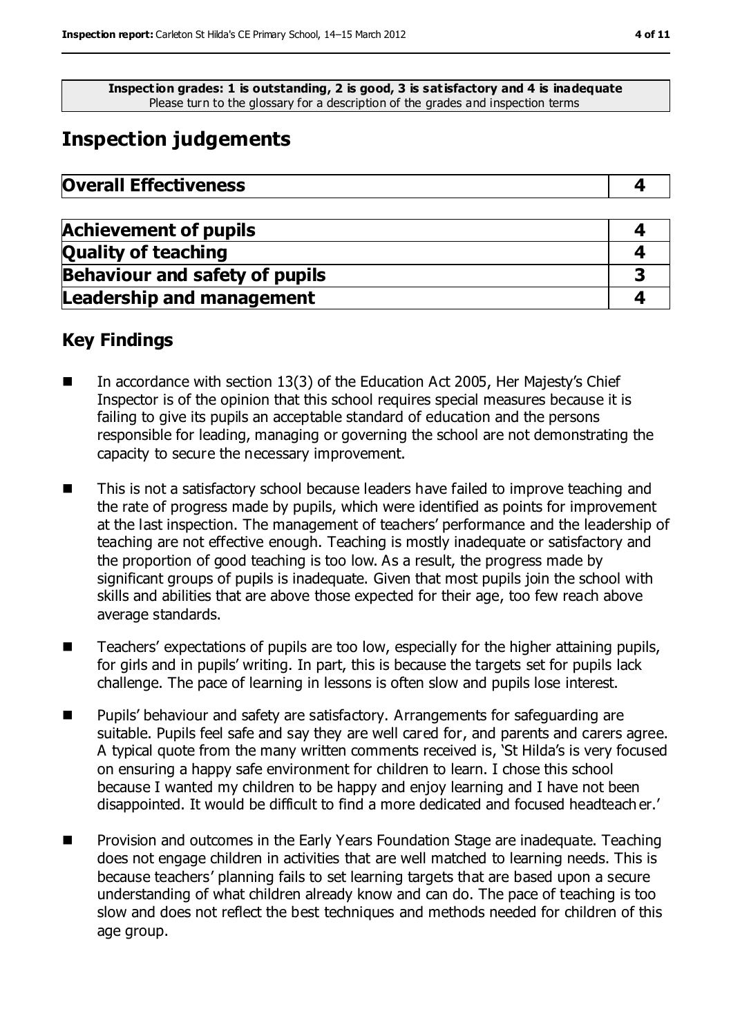**Inspection grades: 1 is outstanding, 2 is good, 3 is satisfactory and 4 is inadequate** Please turn to the glossary for a description of the grades and inspection terms

## **Inspection judgements**

| <b>Overall Effectiveness</b> |  |
|------------------------------|--|
|------------------------------|--|

| <b>Achievement of pupils</b>          |  |
|---------------------------------------|--|
| <b>Quality of teaching</b>            |  |
| <b>Behaviour and safety of pupils</b> |  |
| <b>Leadership and management</b>      |  |

### **Key Findings**

- In accordance with section 13(3) of the Education Act 2005, Her Majesty's Chief Inspector is of the opinion that this school requires special measures because it is failing to give its pupils an acceptable standard of education and the persons responsible for leading, managing or governing the school are not demonstrating the capacity to secure the necessary improvement.
- This is not a satisfactory school because leaders have failed to improve teaching and the rate of progress made by pupils, which were identified as points for improvement at the last inspection. The management of teachers' performance and the leadership of teaching are not effective enough. Teaching is mostly inadequate or satisfactory and the proportion of good teaching is too low. As a result, the progress made by significant groups of pupils is inadequate. Given that most pupils join the school with skills and abilities that are above those expected for their age, too few reach above average standards.
- Teachers' expectations of pupils are too low, especially for the higher attaining pupils, for girls and in pupils' writing. In part, this is because the targets set for pupils lack challenge. The pace of learning in lessons is often slow and pupils lose interest.
- Pupils' behaviour and safety are satisfactory. Arrangements for safeguarding are suitable. Pupils feel safe and say they are well cared for, and parents and carers agree. A typical quote from the many written comments received is, 'St Hilda's is very focused on ensuring a happy safe environment for children to learn. I chose this school because I wanted my children to be happy and enjoy learning and I have not been disappointed. It would be difficult to find a more dedicated and focused headteach er.'
- Provision and outcomes in the Early Years Foundation Stage are inadequate. Teaching does not engage children in activities that are well matched to learning needs. This is because teachers' planning fails to set learning targets that are based upon a secure understanding of what children already know and can do. The pace of teaching is too slow and does not reflect the best techniques and methods needed for children of this age group.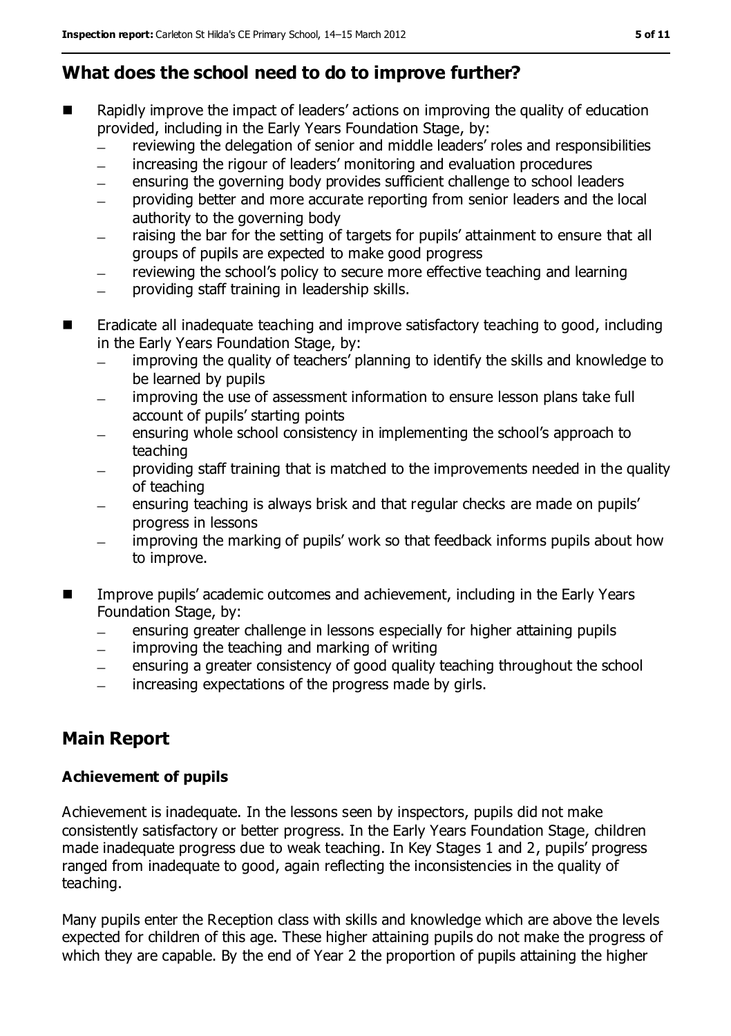### **What does the school need to do to improve further?**

- Rapidly improve the impact of leaders' actions on improving the quality of education provided, including in the Early Years Foundation Stage, by:
	- reviewing the delegation of senior and middle leaders' roles and responsibilities
	- increasing the rigour of leaders' monitoring and evaluation procedures
	- ensuring the governing body provides sufficient challenge to school leaders  $\equiv$
	- providing better and more accurate reporting from senior leaders and the local authority to the governing body
	- raising the bar for the setting of targets for pupils' attainment to ensure that all  $\overline{\phantom{0}}$ groups of pupils are expected to make good progress
	- reviewing the school's policy to secure more effective teaching and learning
	- providing staff training in leadership skills.
- **E** Eradicate all inadequate teaching and improve satisfactory teaching to good, including in the Early Years Foundation Stage, by:
	- improving the quality of teachers' planning to identify the skills and knowledge to  $\equiv$ be learned by pupils
	- improving the use of assessment information to ensure lesson plans take full account of pupils' starting points
	- ensuring whole school consistency in implementing the school's approach to teaching
	- providing staff training that is matched to the improvements needed in the quality of teaching
	- ensuring teaching is always brisk and that regular checks are made on pupils'  $\equiv$ progress in lessons
	- improving the marking of pupils' work so that feedback informs pupils about how  $\equiv$ to improve.
- **IMPROVE 2018** Improve pupils' academic outcomes and achievement, including in the Early Years Foundation Stage, by:
	- ensuring greater challenge in lessons especially for higher attaining pupils  $\equiv$
	- improving the teaching and marking of writing
	- ensuring a greater consistency of good quality teaching throughout the school  $\equiv$
	- increasing expectations of the progress made by girls.  $\equiv$

### **Main Report**

### **Achievement of pupils**

Achievement is inadequate. In the lessons seen by inspectors, pupils did not make consistently satisfactory or better progress. In the Early Years Foundation Stage, children made inadequate progress due to weak teaching. In Key Stages 1 and 2, pupils' progress ranged from inadequate to good, again reflecting the inconsistencies in the quality of teaching.

Many pupils enter the Reception class with skills and knowledge which are above the levels expected for children of this age. These higher attaining pupils do not make the progress of which they are capable. By the end of Year 2 the proportion of pupils attaining the higher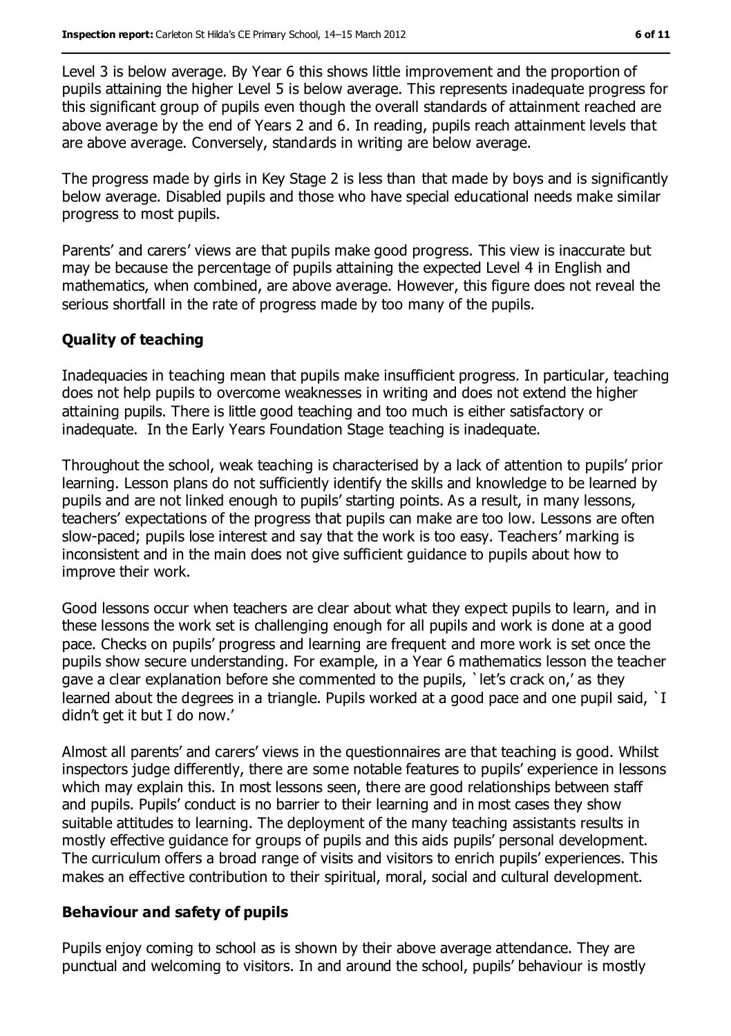Level 3 is below average. By Year 6 this shows little improvement and the proportion of pupils attaining the higher Level 5 is below average. This represents inadequate progress for this significant group of pupils even though the overall standards of attainment reached are above average by the end of Years 2 and 6. In reading, pupils reach attainment levels that are above average. Conversely, standards in writing are below average.

The progress made by girls in Key Stage 2 is less than that made by boys and is significantly below average. Disabled pupils and those who have special educational needs make similar progress to most pupils.

Parents' and carers' views are that pupils make good progress. This view is inaccurate but may be because the percentage of pupils attaining the expected Level 4 in English and mathematics, when combined, are above average. However, this figure does not reveal the serious shortfall in the rate of progress made by too many of the pupils.

#### **Quality of teaching**

Inadequacies in teaching mean that pupils make insufficient progress. In particular, teaching does not help pupils to overcome weaknesses in writing and does not extend the higher attaining pupils. There is little good teaching and too much is either satisfactory or inadequate. In the Early Years Foundation Stage teaching is inadequate.

Throughout the school, weak teaching is characterised by a lack of attention to pupils' prior learning. Lesson plans do not sufficiently identify the skills and knowledge to be learned by pupils and are not linked enough to pupils' starting points. As a result, in many lessons, teachers' expectations of the progress that pupils can make are too low. Lessons are often slow-paced; pupils lose interest and say that the work is too easy. Teachers' marking is inconsistent and in the main does not give sufficient guidance to pupils about how to improve their work.

Good lessons occur when teachers are clear about what they expect pupils to learn, and in these lessons the work set is challenging enough for all pupils and work is done at a good pace. Checks on pupils' progress and learning are frequent and more work is set once the pupils show secure understanding. For example, in a Year 6 mathematics lesson the teacher gave a clear explanation before she commented to the pupils, `let's crack on,' as they learned about the degrees in a triangle. Pupils worked at a good pace and one pupil said, `I didn't get it but I do now.'

Almost all parents' and carers' views in the questionnaires are that teaching is good. Whilst inspectors judge differently, there are some notable features to pupils' experience in lessons which may explain this. In most lessons seen, there are good relationships between staff and pupils. Pupils' conduct is no barrier to their learning and in most cases they show suitable attitudes to learning. The deployment of the many teaching assistants results in mostly effective guidance for groups of pupils and this aids pupils' personal development. The curriculum offers a broad range of visits and visitors to enrich pupils' experiences. This makes an effective contribution to their spiritual, moral, social and cultural development.

#### **Behaviour and safety of pupils**

Pupils enjoy coming to school as is shown by their above average attendance. They are punctual and welcoming to visitors. In and around the school, pupils' behaviour is mostly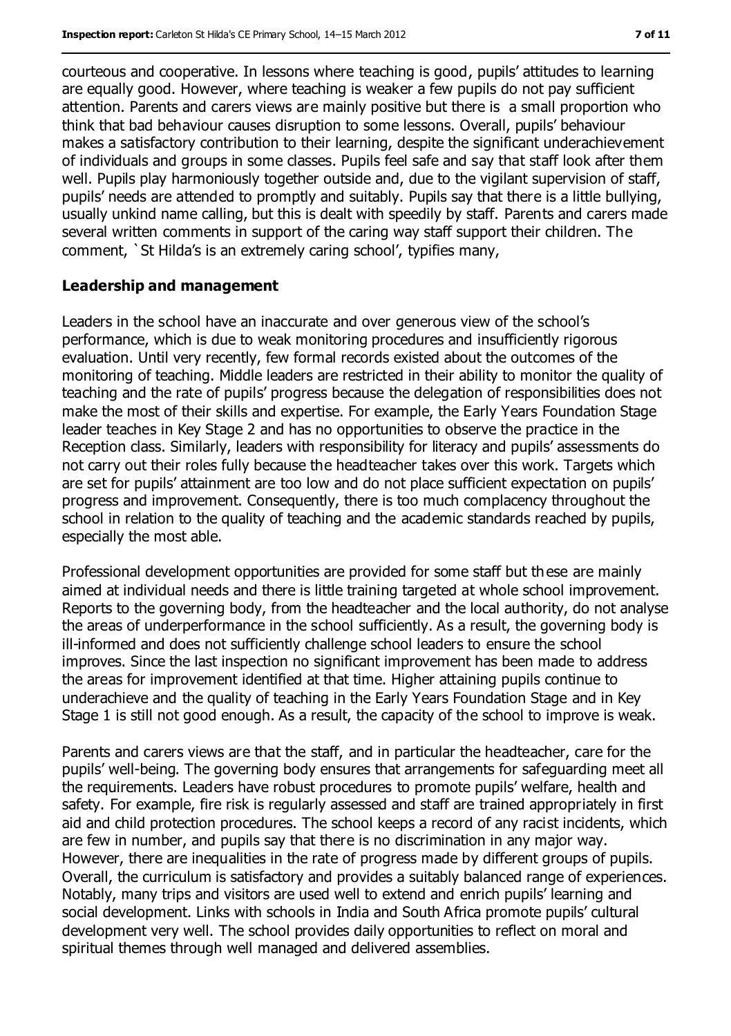courteous and cooperative. In lessons where teaching is good, pupils' attitudes to learning are equally good. However, where teaching is weaker a few pupils do not pay sufficient attention. Parents and carers views are mainly positive but there is a small proportion who think that bad behaviour causes disruption to some lessons. Overall, pupils' behaviour makes a satisfactory contribution to their learning, despite the significant underachievement of individuals and groups in some classes. Pupils feel safe and say that staff look after them well. Pupils play harmoniously together outside and, due to the vigilant supervision of staff, pupils' needs are attended to promptly and suitably. Pupils say that there is a little bullying, usually unkind name calling, but this is dealt with speedily by staff. Parents and carers made several written comments in support of the caring way staff support their children. The comment, `St Hilda's is an extremely caring school', typifies many,

#### **Leadership and management**

Leaders in the school have an inaccurate and over generous view of the school's performance, which is due to weak monitoring procedures and insufficiently rigorous evaluation. Until very recently, few formal records existed about the outcomes of the monitoring of teaching. Middle leaders are restricted in their ability to monitor the quality of teaching and the rate of pupils' progress because the delegation of responsibilities does not make the most of their skills and expertise. For example, the Early Years Foundation Stage leader teaches in Key Stage 2 and has no opportunities to observe the practice in the Reception class. Similarly, leaders with responsibility for literacy and pupils' assessments do not carry out their roles fully because the headteacher takes over this work. Targets which are set for pupils' attainment are too low and do not place sufficient expectation on pupils' progress and improvement. Consequently, there is too much complacency throughout the school in relation to the quality of teaching and the academic standards reached by pupils, especially the most able.

Professional development opportunities are provided for some staff but these are mainly aimed at individual needs and there is little training targeted at whole school improvement. Reports to the governing body, from the headteacher and the local authority, do not analyse the areas of underperformance in the school sufficiently. As a result, the governing body is ill-informed and does not sufficiently challenge school leaders to ensure the school improves. Since the last inspection no significant improvement has been made to address the areas for improvement identified at that time. Higher attaining pupils continue to underachieve and the quality of teaching in the Early Years Foundation Stage and in Key Stage 1 is still not good enough. As a result, the capacity of the school to improve is weak.

Parents and carers views are that the staff, and in particular the headteacher, care for the pupils' well-being. The governing body ensures that arrangements for safeguarding meet all the requirements. Leaders have robust procedures to promote pupils' welfare, health and safety. For example, fire risk is regularly assessed and staff are trained appropriately in first aid and child protection procedures. The school keeps a record of any racist incidents, which are few in number, and pupils say that there is no discrimination in any major way. However, there are inequalities in the rate of progress made by different groups of pupils. Overall, the curriculum is satisfactory and provides a suitably balanced range of experiences. Notably, many trips and visitors are used well to extend and enrich pupils' learning and social development. Links with schools in India and South Africa promote pupils' cultural development very well. The school provides daily opportunities to reflect on moral and spiritual themes through well managed and delivered assemblies.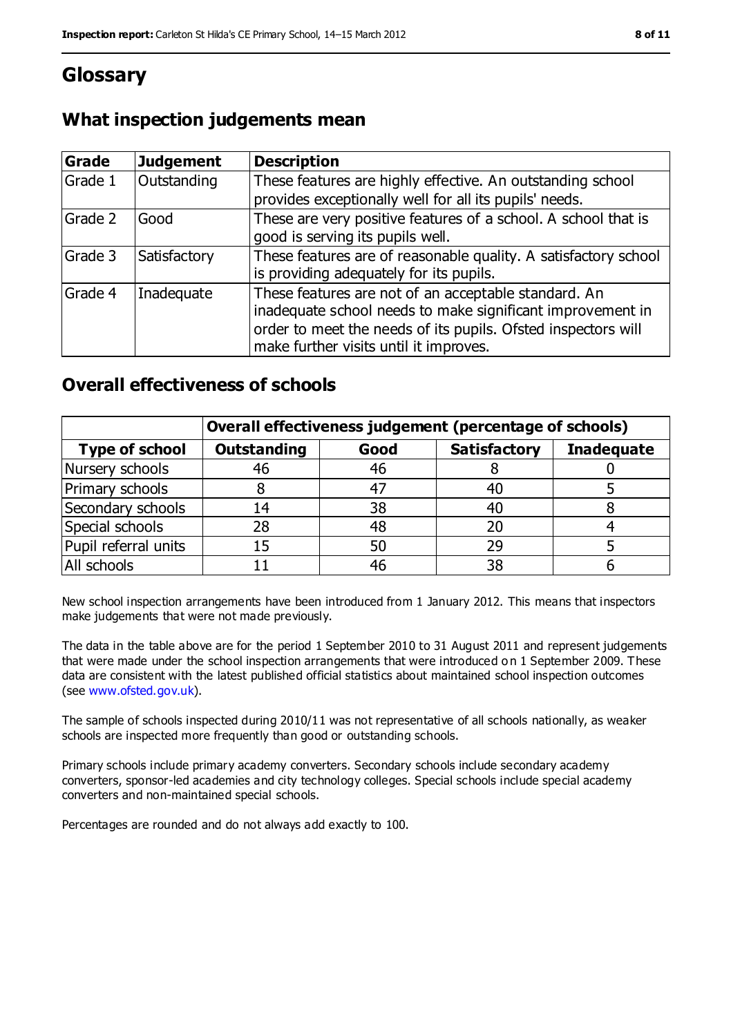### **Glossary**

### **What inspection judgements mean**

| <b>Grade</b> | <b>Judgement</b> | <b>Description</b>                                                                                                                                                                                                            |
|--------------|------------------|-------------------------------------------------------------------------------------------------------------------------------------------------------------------------------------------------------------------------------|
| Grade 1      | Outstanding      | These features are highly effective. An outstanding school<br>provides exceptionally well for all its pupils' needs.                                                                                                          |
| Grade 2      | Good             | These are very positive features of a school. A school that is<br>good is serving its pupils well.                                                                                                                            |
| Grade 3      | Satisfactory     | These features are of reasonable quality. A satisfactory school<br>is providing adequately for its pupils.                                                                                                                    |
| Grade 4      | Inadequate       | These features are not of an acceptable standard. An<br>inadequate school needs to make significant improvement in<br>order to meet the needs of its pupils. Ofsted inspectors will<br>make further visits until it improves. |

### **Overall effectiveness of schools**

|                       | Overall effectiveness judgement (percentage of schools) |      |                     |                   |
|-----------------------|---------------------------------------------------------|------|---------------------|-------------------|
| <b>Type of school</b> | <b>Outstanding</b>                                      | Good | <b>Satisfactory</b> | <b>Inadequate</b> |
| Nursery schools       | 46                                                      | 46   |                     |                   |
| Primary schools       |                                                         | -47  |                     |                   |
| Secondary schools     | 14                                                      | 38   | 40                  |                   |
| Special schools       | 28                                                      | 48   | 20                  |                   |
| Pupil referral units  | 15                                                      | 50   | 29                  |                   |
| All schools           |                                                         | 46   | 38                  |                   |

New school inspection arrangements have been introduced from 1 January 2012. This means that inspectors make judgements that were not made previously.

The data in the table above are for the period 1 September 2010 to 31 August 2011 and represent judgements that were made under the school inspection arrangements that were introduced o n 1 September 2009. These data are consistent with the latest published official statistics about maintained school inspection outcomes (see [www.ofsted.gov.uk\)](file:///C:/Users/ggleaden/AppData/Local/Local%20Settings/Temporary%20Internet%20Files/Local%20Settings/Temporary%20Internet%20Files/Content.IE5/4ZZVQOHL/www.ofsted.gov.uk).

The sample of schools inspected during 2010/11 was not representative of all schools nationally, as weaker schools are inspected more frequently than good or outstanding schools.

Primary schools include primary academy converters. Secondary schools include secondary academy converters, sponsor-led academies and city technology colleges. Special schools include special academy converters and non-maintained special schools.

Percentages are rounded and do not always add exactly to 100.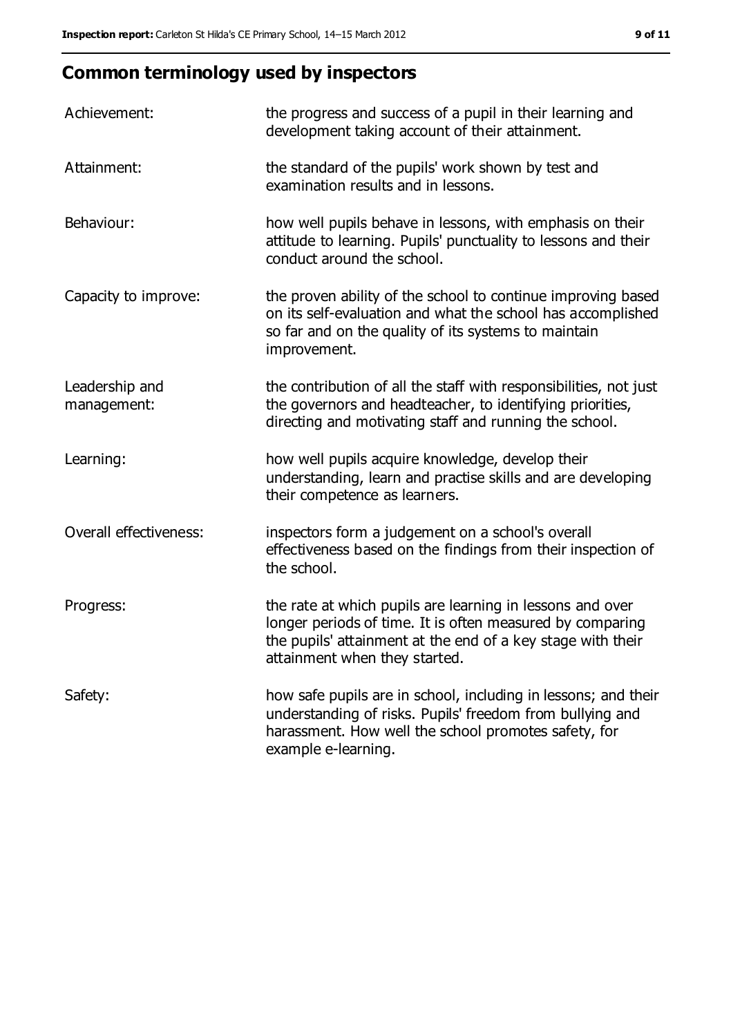## **Common terminology used by inspectors**

| Achievement:                  | the progress and success of a pupil in their learning and<br>development taking account of their attainment.                                                                                                           |
|-------------------------------|------------------------------------------------------------------------------------------------------------------------------------------------------------------------------------------------------------------------|
| Attainment:                   | the standard of the pupils' work shown by test and<br>examination results and in lessons.                                                                                                                              |
| Behaviour:                    | how well pupils behave in lessons, with emphasis on their<br>attitude to learning. Pupils' punctuality to lessons and their<br>conduct around the school.                                                              |
| Capacity to improve:          | the proven ability of the school to continue improving based<br>on its self-evaluation and what the school has accomplished<br>so far and on the quality of its systems to maintain<br>improvement.                    |
| Leadership and<br>management: | the contribution of all the staff with responsibilities, not just<br>the governors and headteacher, to identifying priorities,<br>directing and motivating staff and running the school.                               |
| Learning:                     | how well pupils acquire knowledge, develop their<br>understanding, learn and practise skills and are developing<br>their competence as learners.                                                                       |
| Overall effectiveness:        | inspectors form a judgement on a school's overall<br>effectiveness based on the findings from their inspection of<br>the school.                                                                                       |
| Progress:                     | the rate at which pupils are learning in lessons and over<br>longer periods of time. It is often measured by comparing<br>the pupils' attainment at the end of a key stage with their<br>attainment when they started. |
| Safety:                       | how safe pupils are in school, including in lessons; and their<br>understanding of risks. Pupils' freedom from bullying and<br>harassment. How well the school promotes safety, for<br>example e-learning.             |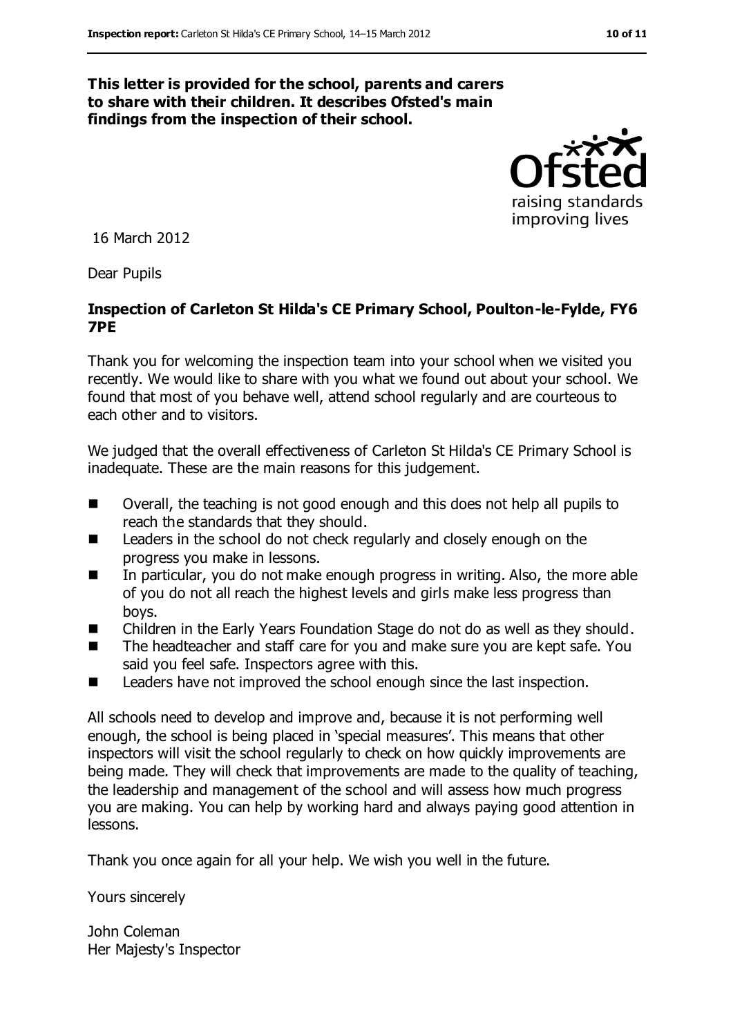#### **This letter is provided for the school, parents and carers to share with their children. It describes Ofsted's main findings from the inspection of their school.**



16 March 2012

Dear Pupils

#### **Inspection of Carleton St Hilda's CE Primary School, Poulton-le-Fylde, FY6 7PE**

Thank you for welcoming the inspection team into your school when we visited you recently. We would like to share with you what we found out about your school. We found that most of you behave well, attend school regularly and are courteous to each other and to visitors.

We judged that the overall effectiveness of Carleton St Hilda's CE Primary School is inadequate. These are the main reasons for this judgement.

- Overall, the teaching is not good enough and this does not help all pupils to reach the standards that they should.
- Leaders in the school do not check regularly and closely enough on the progress you make in lessons.
- In particular, you do not make enough progress in writing. Also, the more able of you do not all reach the highest levels and girls make less progress than boys.
- Children in the Early Years Foundation Stage do not do as well as they should.
- The headteacher and staff care for you and make sure you are kept safe. You said you feel safe. Inspectors agree with this.
- Leaders have not improved the school enough since the last inspection.

All schools need to develop and improve and, because it is not performing well enough, the school is being placed in 'special measures'. This means that other inspectors will visit the school regularly to check on how quickly improvements are being made. They will check that improvements are made to the quality of teaching, the leadership and management of the school and will assess how much progress you are making. You can help by working hard and always paying good attention in lessons.

Thank you once again for all your help. We wish you well in the future.

Yours sincerely

John Coleman Her Majesty's Inspector